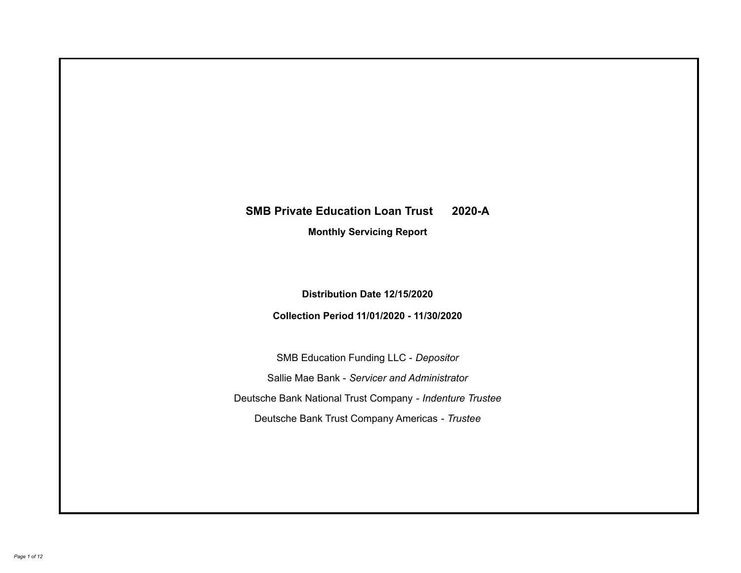# **SMB Private Education Loan Trust 2020-A Monthly Servicing Report**

**Distribution Date 12/15/2020**

**Collection Period 11/01/2020 - 11/30/2020**

SMB Education Funding LLC - *Depositor* Sallie Mae Bank - *Servicer and Administrator* Deutsche Bank National Trust Company - *Indenture Trustee* Deutsche Bank Trust Company Americas - *Trustee*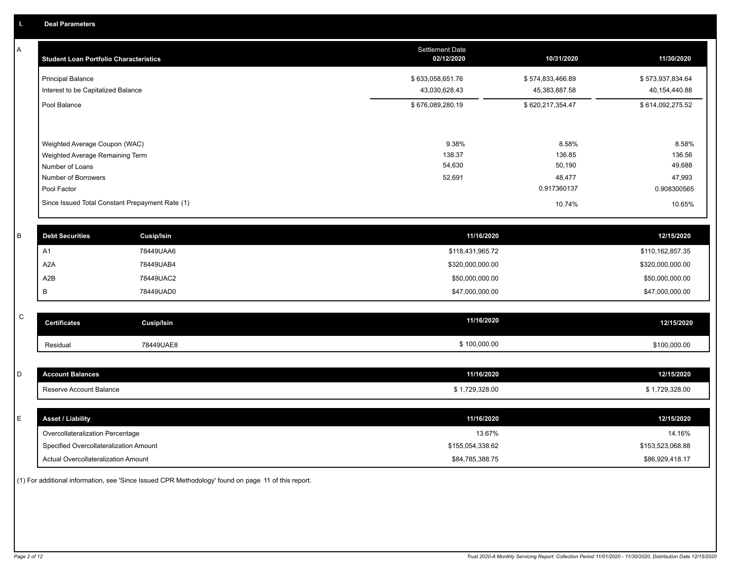A

|   | <b>Student Loan Portfolio Characteristics</b>                                       |                                                 | <b>Settlement Date</b><br>02/12/2020 | 10/31/2020                        | 11/30/2020                        |
|---|-------------------------------------------------------------------------------------|-------------------------------------------------|--------------------------------------|-----------------------------------|-----------------------------------|
|   | <b>Principal Balance</b><br>Interest to be Capitalized Balance                      |                                                 | \$633,058,651.76<br>43,030,628.43    | \$574,833,466.89<br>45,383,887.58 | \$573,937,834.64<br>40,154,440.88 |
|   | Pool Balance                                                                        |                                                 | \$676,089,280.19                     | \$620,217,354.47                  | \$614,092,275.52                  |
|   | Weighted Average Coupon (WAC)<br>Weighted Average Remaining Term<br>Number of Loans |                                                 | 9.38%<br>138.37<br>54,630            | 8.58%<br>136.85<br>50,190         | 8.58%<br>136.56<br>49,688         |
|   | Number of Borrowers<br>Pool Factor                                                  |                                                 | 52,691                               | 48,477<br>0.917360137             | 47,993<br>0.908300565             |
|   |                                                                                     | Since Issued Total Constant Prepayment Rate (1) |                                      | 10.74%                            | 10.65%                            |
| R | <b>Debt Securities</b>                                                              | <b>Cusip/Isin</b>                               | 11/16/2020                           |                                   | 12/15/2020                        |
|   | A <sub>1</sub>                                                                      | 78449UAA6                                       | \$118,431,965.72                     |                                   | \$110,162,857.35                  |
|   | A2A                                                                                 | 78449UAB4                                       | \$320,000,000.00                     |                                   | \$320,000,000.00                  |
|   | A2B                                                                                 | 78449UAC2                                       | \$50,000,000.00                      |                                   | \$50,000,000.00                   |
|   | в                                                                                   | 78449UAD0                                       | \$47,000,000.00                      |                                   | \$47,000,000.00                   |

| $\sim$<br>◡ | <b>Certificates</b> | Cusip/Isin | 11/16/2020   | 12/15/2020   |
|-------------|---------------------|------------|--------------|--------------|
|             | Residual            | 78449UAE8  | \$100,000.00 | \$100,000.00 |

| l D | <b>Account Balances</b>                | 11/16/2020       | 12/15/2020       |
|-----|----------------------------------------|------------------|------------------|
|     | Reserve Account Balance                | \$1,729,328.00   | \$1,729,328.00   |
|     |                                        |                  |                  |
| IE. | <b>Asset / Liability</b>               | 11/16/2020       | 12/15/2020       |
|     | Overcollateralization Percentage       | 13.67%           | 14.16%           |
|     | Specified Overcollateralization Amount | \$155,054,338.62 | \$153,523,068.88 |
|     | Actual Overcollateralization Amount    | \$84,785,388.75  | \$86,929,418.17  |

(1) For additional information, see 'Since Issued CPR Methodology' found on page 11 of this report.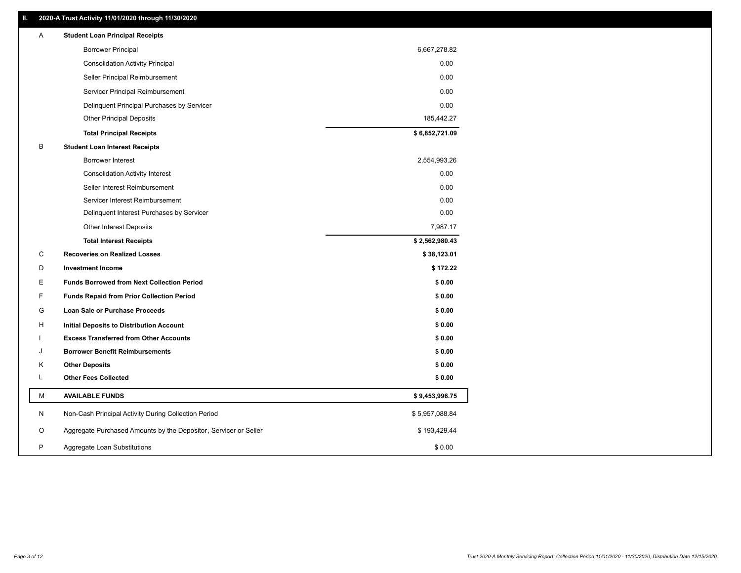| Α | <b>Student Loan Principal Receipts</b>                           |                |
|---|------------------------------------------------------------------|----------------|
|   | <b>Borrower Principal</b>                                        | 6,667,278.82   |
|   | <b>Consolidation Activity Principal</b>                          | 0.00           |
|   | Seller Principal Reimbursement                                   | 0.00           |
|   | Servicer Principal Reimbursement                                 | 0.00           |
|   | Delinquent Principal Purchases by Servicer                       | 0.00           |
|   | <b>Other Principal Deposits</b>                                  | 185,442.27     |
|   | <b>Total Principal Receipts</b>                                  | \$6,852,721.09 |
| В | <b>Student Loan Interest Receipts</b>                            |                |
|   | <b>Borrower Interest</b>                                         | 2,554,993.26   |
|   | <b>Consolidation Activity Interest</b>                           | 0.00           |
|   | Seller Interest Reimbursement                                    | 0.00           |
|   | Servicer Interest Reimbursement                                  | 0.00           |
|   | Delinquent Interest Purchases by Servicer                        | 0.00           |
|   | <b>Other Interest Deposits</b>                                   | 7,987.17       |
|   | <b>Total Interest Receipts</b>                                   | \$2,562,980.43 |
| C | <b>Recoveries on Realized Losses</b>                             | \$38,123.01    |
| D | <b>Investment Income</b>                                         | \$172.22       |
| Е | <b>Funds Borrowed from Next Collection Period</b>                | \$0.00         |
| F | <b>Funds Repaid from Prior Collection Period</b>                 | \$0.00         |
| G | Loan Sale or Purchase Proceeds                                   | \$0.00         |
| н | Initial Deposits to Distribution Account                         | \$0.00         |
|   | <b>Excess Transferred from Other Accounts</b>                    | \$0.00         |
| J | <b>Borrower Benefit Reimbursements</b>                           | \$0.00         |
| Κ | <b>Other Deposits</b>                                            | \$0.00         |
| L | <b>Other Fees Collected</b>                                      | \$0.00         |
| М | <b>AVAILABLE FUNDS</b>                                           | \$9,453,996.75 |
| N | Non-Cash Principal Activity During Collection Period             | \$5,957,088.84 |
| O | Aggregate Purchased Amounts by the Depositor, Servicer or Seller | \$193,429.44   |
| P | Aggregate Loan Substitutions                                     | \$0.00         |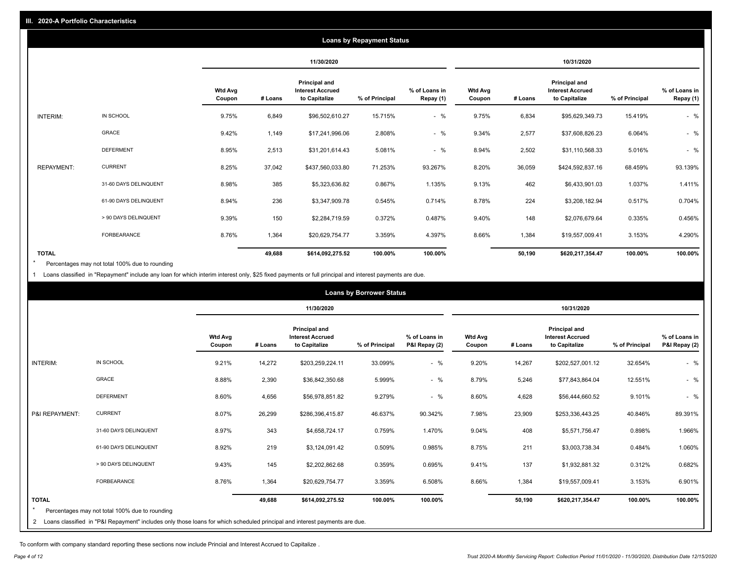|                   | <b>Loans by Repayment Status</b> |                          |         |                                                           |                |                            |                          |         |                                                           |                |                            |
|-------------------|----------------------------------|--------------------------|---------|-----------------------------------------------------------|----------------|----------------------------|--------------------------|---------|-----------------------------------------------------------|----------------|----------------------------|
|                   |                                  |                          |         | 11/30/2020                                                |                |                            |                          |         | 10/31/2020                                                |                |                            |
|                   |                                  | <b>Wtd Avg</b><br>Coupon | # Loans | Principal and<br><b>Interest Accrued</b><br>to Capitalize | % of Principal | % of Loans in<br>Repay (1) | <b>Wtd Avg</b><br>Coupon | # Loans | Principal and<br><b>Interest Accrued</b><br>to Capitalize | % of Principal | % of Loans in<br>Repay (1) |
| INTERIM:          | IN SCHOOL                        | 9.75%                    | 6,849   | \$96,502,610.27                                           | 15.715%        | $-$ %                      | 9.75%                    | 6,834   | \$95,629,349.73                                           | 15.419%        | $-$ %                      |
|                   | GRACE                            | 9.42%                    | 1,149   | \$17,241,996.06                                           | 2.808%         | $-$ %                      | 9.34%                    | 2,577   | \$37,608,826.23                                           | 6.064%         | $-$ %                      |
|                   | <b>DEFERMENT</b>                 | 8.95%                    | 2,513   | \$31,201,614.43                                           | 5.081%         | $-$ %                      | 8.94%                    | 2,502   | \$31,110,568.33                                           | 5.016%         | $-$ %                      |
| <b>REPAYMENT:</b> | <b>CURRENT</b>                   | 8.25%                    | 37,042  | \$437,560,033.80                                          | 71.253%        | 93.267%                    | 8.20%                    | 36,059  | \$424,592,837.16                                          | 68.459%        | 93.139%                    |
|                   | 31-60 DAYS DELINQUENT            | 8.98%                    | 385     | \$5,323,636.82                                            | 0.867%         | 1.135%                     | 9.13%                    | 462     | \$6,433,901.03                                            | 1.037%         | 1.411%                     |
|                   | 61-90 DAYS DELINQUENT            | 8.94%                    | 236     | \$3,347,909.78                                            | 0.545%         | 0.714%                     | 8.78%                    | 224     | \$3,208,182.94                                            | 0.517%         | 0.704%                     |
|                   | > 90 DAYS DELINQUENT             | 9.39%                    | 150     | \$2,284,719.59                                            | 0.372%         | 0.487%                     | 9.40%                    | 148     | \$2,076,679.64                                            | 0.335%         | 0.456%                     |
|                   | FORBEARANCE                      | 8.76%                    | 1,364   | \$20,629,754.77                                           | 3.359%         | 4.397%                     | 8.66%                    | 1,384   | \$19,557,009.41                                           | 3.153%         | 4.290%                     |
| <b>TOTAL</b>      |                                  |                          | 49,688  | \$614,092,275.52                                          | 100.00%        | 100.00%                    |                          | 50,190  | \$620,217,354.47                                          | 100.00%        | 100.00%                    |

Percentages may not total 100% due to rounding \*

1 Loans classified in "Repayment" include any loan for which interim interest only, \$25 fixed payments or full principal and interest payments are due.

|                                | <b>Loans by Borrower Status</b>                                                                                            |                          |         |                                                                  |                |                                |                          |         |                                                                  |                |                                |
|--------------------------------|----------------------------------------------------------------------------------------------------------------------------|--------------------------|---------|------------------------------------------------------------------|----------------|--------------------------------|--------------------------|---------|------------------------------------------------------------------|----------------|--------------------------------|
|                                |                                                                                                                            |                          |         | 11/30/2020                                                       |                |                                | 10/31/2020               |         |                                                                  |                |                                |
|                                |                                                                                                                            | <b>Wtd Avg</b><br>Coupon | # Loans | <b>Principal and</b><br><b>Interest Accrued</b><br>to Capitalize | % of Principal | % of Loans in<br>P&I Repay (2) | <b>Wtd Avg</b><br>Coupon | # Loans | <b>Principal and</b><br><b>Interest Accrued</b><br>to Capitalize | % of Principal | % of Loans in<br>P&I Repay (2) |
| INTERIM:                       | IN SCHOOL                                                                                                                  | 9.21%                    | 14,272  | \$203,259,224.11                                                 | 33.099%        | $-$ %                          | 9.20%                    | 14,267  | \$202,527,001.12                                                 | 32.654%        | $-$ %                          |
|                                | <b>GRACE</b>                                                                                                               | 8.88%                    | 2,390   | \$36,842,350.68                                                  | 5.999%         | $-$ %                          | 8.79%                    | 5,246   | \$77,843,864.04                                                  | 12.551%        | $-$ %                          |
|                                | <b>DEFERMENT</b>                                                                                                           | 8.60%                    | 4,656   | \$56,978,851.82                                                  | 9.279%         | $-$ %                          | 8.60%                    | 4,628   | \$56,444,660.52                                                  | 9.101%         | $-$ %                          |
| P&I REPAYMENT:                 | <b>CURRENT</b>                                                                                                             | 8.07%                    | 26,299  | \$286,396,415.87                                                 | 46.637%        | 90.342%                        | 7.98%                    | 23,909  | \$253,336,443.25                                                 | 40.846%        | 89.391%                        |
|                                | 31-60 DAYS DELINQUENT                                                                                                      | 8.97%                    | 343     | \$4,658,724.17                                                   | 0.759%         | 1.470%                         | 9.04%                    | 408     | \$5,571,756.47                                                   | 0.898%         | 1.966%                         |
|                                | 61-90 DAYS DELINQUENT                                                                                                      | 8.92%                    | 219     | \$3,124,091.42                                                   | 0.509%         | 0.985%                         | 8.75%                    | 211     | \$3,003,738.34                                                   | 0.484%         | 1.060%                         |
|                                | > 90 DAYS DELINQUENT                                                                                                       | 9.43%                    | 145     | \$2,202,862.68                                                   | 0.359%         | 0.695%                         | 9.41%                    | 137     | \$1,932,881.32                                                   | 0.312%         | 0.682%                         |
|                                | FORBEARANCE                                                                                                                | 8.76%                    | 1,364   | \$20,629,754.77                                                  | 3.359%         | 6.508%                         | 8.66%                    | 1,384   | \$19,557,009.41                                                  | 3.153%         | 6.901%                         |
| <b>TOTAL</b><br>$\overline{2}$ | Percentages may not total 100% due to rounding                                                                             |                          | 49,688  | \$614,092,275.52                                                 | 100.00%        | 100.00%                        |                          | 50,190  | \$620,217,354.47                                                 | 100.00%        | 100.00%                        |
|                                | Loans classified in "P&I Repayment" includes only those loans for which scheduled principal and interest payments are due. |                          |         |                                                                  |                |                                |                          |         |                                                                  |                |                                |

To conform with company standard reporting these sections now include Princial and Interest Accrued to Capitalize .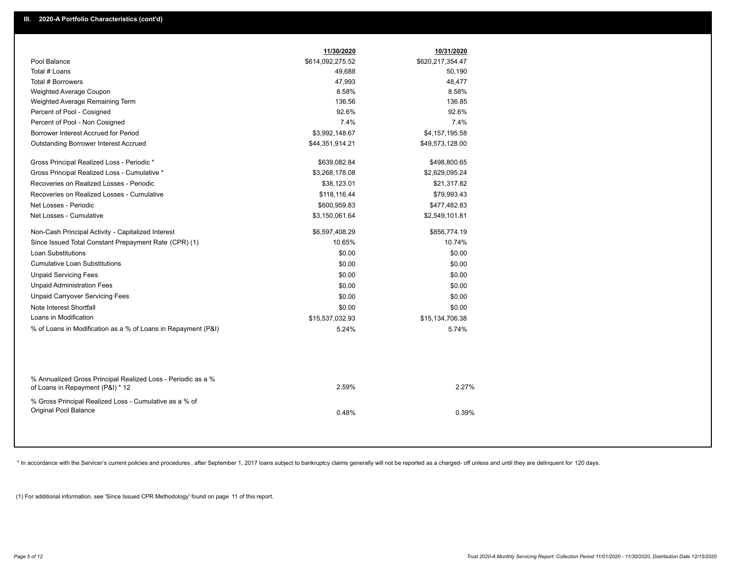|                                                                                                  | 11/30/2020       | 10/31/2020       |
|--------------------------------------------------------------------------------------------------|------------------|------------------|
| Pool Balance                                                                                     | \$614,092,275.52 | \$620,217,354.47 |
| Total # Loans                                                                                    | 49,688           | 50,190           |
| Total # Borrowers                                                                                | 47,993           | 48,477           |
| Weighted Average Coupon                                                                          | 8.58%            | 8.58%            |
| Weighted Average Remaining Term                                                                  | 136.56           | 136.85           |
| Percent of Pool - Cosigned                                                                       | 92.6%            | 92.6%            |
| Percent of Pool - Non Cosigned                                                                   | 7.4%             | 7.4%             |
| Borrower Interest Accrued for Period                                                             | \$3,992,148.67   | \$4,157,195.58   |
| Outstanding Borrower Interest Accrued                                                            | \$44,351,914.21  | \$49,573,128.00  |
| Gross Principal Realized Loss - Periodic *                                                       | \$639,082.84     | \$498,800.65     |
| Gross Principal Realized Loss - Cumulative *                                                     | \$3,268,178.08   | \$2,629,095.24   |
| Recoveries on Realized Losses - Periodic                                                         | \$38,123.01      | \$21,317.82      |
| Recoveries on Realized Losses - Cumulative                                                       | \$118,116.44     | \$79,993.43      |
| Net Losses - Periodic                                                                            | \$600,959.83     | \$477,482.83     |
| Net Losses - Cumulative                                                                          | \$3,150,061.64   | \$2,549,101.81   |
| Non-Cash Principal Activity - Capitalized Interest                                               | \$6,597,408.29   | \$856,774.19     |
| Since Issued Total Constant Prepayment Rate (CPR) (1)                                            | 10.65%           | 10.74%           |
| <b>Loan Substitutions</b>                                                                        | \$0.00           | \$0.00           |
| <b>Cumulative Loan Substitutions</b>                                                             | \$0.00           | \$0.00           |
| <b>Unpaid Servicing Fees</b>                                                                     | \$0.00           | \$0.00           |
| <b>Unpaid Administration Fees</b>                                                                | \$0.00           | \$0.00           |
| <b>Unpaid Carryover Servicing Fees</b>                                                           | \$0.00           | \$0.00           |
| Note Interest Shortfall                                                                          | \$0.00           | \$0.00           |
| Loans in Modification                                                                            | \$15,537,032.93  | \$15,134,706.38  |
| % of Loans in Modification as a % of Loans in Repayment (P&I)                                    | 5.24%            | 5.74%            |
|                                                                                                  |                  |                  |
| % Annualized Gross Principal Realized Loss - Periodic as a %<br>of Loans in Repayment (P&I) * 12 | 2.59%            | 2.27%            |
| % Gross Principal Realized Loss - Cumulative as a % of                                           |                  |                  |
| Original Pool Balance                                                                            | 0.48%            | 0.39%            |
|                                                                                                  |                  |                  |

\* In accordance with the Servicer's current policies and procedures, after September 1, 2017 loans subject to bankruptcy claims generally will not be reported as a charged- off unless and until they are delinquent for 120

(1) For additional information, see 'Since Issued CPR Methodology' found on page 11 of this report.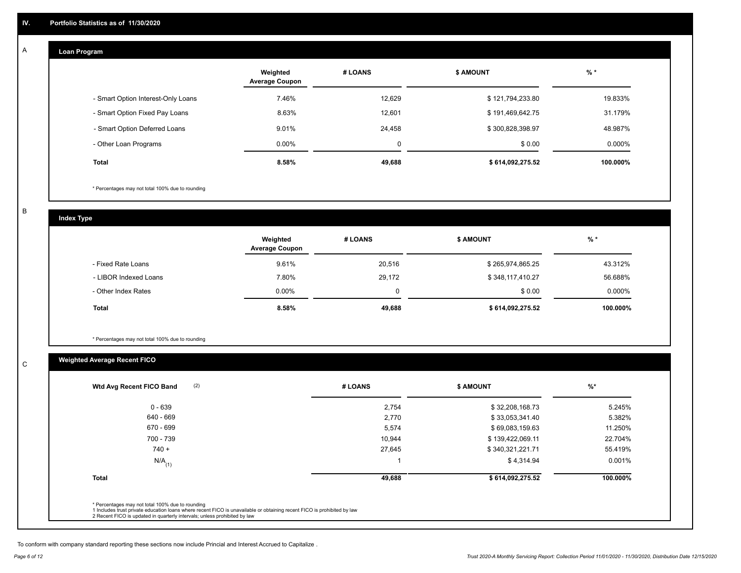#### **Loan Program**  A

|                                    | Weighted<br><b>Average Coupon</b> | # LOANS | <b>\$ AMOUNT</b> | $%$ *     |
|------------------------------------|-----------------------------------|---------|------------------|-----------|
| - Smart Option Interest-Only Loans | 7.46%                             | 12.629  | \$121,794,233.80 | 19.833%   |
| - Smart Option Fixed Pay Loans     | 8.63%                             | 12,601  | \$191,469,642.75 | 31.179%   |
| - Smart Option Deferred Loans      | 9.01%                             | 24.458  | \$300,828,398.97 | 48.987%   |
| - Other Loan Programs              | $0.00\%$                          | 0       | \$0.00           | $0.000\%$ |
| Total                              | 8.58%                             | 49,688  | \$614,092,275.52 | 100.000%  |

\* Percentages may not total 100% due to rounding

B

C

**Index Type**

|                       | Weighted<br><b>Average Coupon</b> | # LOANS  | <b>\$ AMOUNT</b> | $%$ *     |
|-----------------------|-----------------------------------|----------|------------------|-----------|
| - Fixed Rate Loans    | 9.61%                             | 20,516   | \$265,974,865.25 | 43.312%   |
| - LIBOR Indexed Loans | 7.80%                             | 29,172   | \$348,117,410.27 | 56.688%   |
| - Other Index Rates   | $0.00\%$                          | $\Omega$ | \$0.00           | $0.000\%$ |
| Total                 | 8.58%                             | 49,688   | \$614,092,275.52 | 100.000%  |

\* Percentages may not total 100% due to rounding

## **Weighted Average Recent FICO**

| $0 - 639$            | 2,754  | \$32,208,168.73  | 5.245%   |
|----------------------|--------|------------------|----------|
| 640 - 669            | 2,770  | \$33,053,341.40  | 5.382%   |
| 670 - 699            | 5,574  | \$69,083,159.63  | 11.250%  |
| 700 - 739            | 10,944 | \$139,422,069.11 | 22.704%  |
| $740 +$              | 27,645 | \$340,321,221.71 | 55.419%  |
| $N/A$ <sub>(1)</sub> |        | \$4,314.94       | 0.001%   |
| <b>Total</b>         | 49,688 | \$614,092,275.52 | 100.000% |

To conform with company standard reporting these sections now include Princial and Interest Accrued to Capitalize .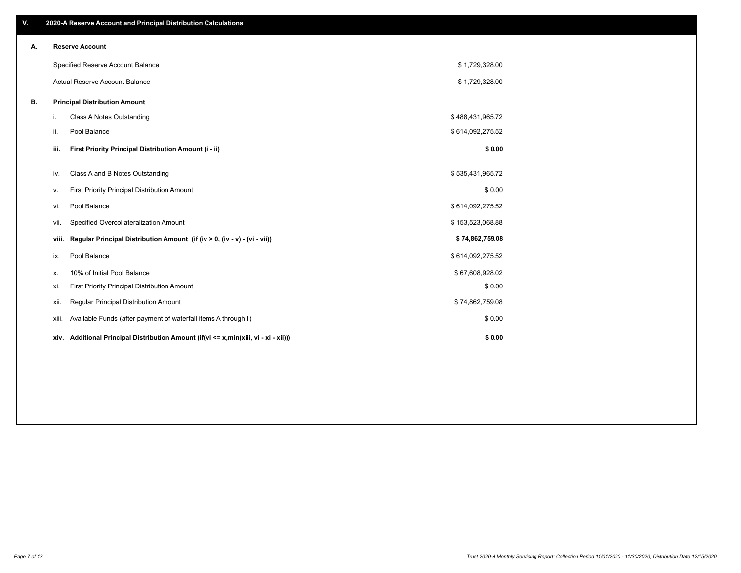| V. |                        | 2020-A Reserve Account and Principal Distribution Calculations                  |                  |  |  |  |  |  |
|----|------------------------|---------------------------------------------------------------------------------|------------------|--|--|--|--|--|
| Α. | <b>Reserve Account</b> |                                                                                 |                  |  |  |  |  |  |
|    |                        | Specified Reserve Account Balance                                               | \$1,729,328.00   |  |  |  |  |  |
|    |                        | Actual Reserve Account Balance                                                  | \$1,729,328.00   |  |  |  |  |  |
| В. |                        | <b>Principal Distribution Amount</b>                                            |                  |  |  |  |  |  |
|    | i.                     | Class A Notes Outstanding                                                       | \$488,431,965.72 |  |  |  |  |  |
|    | ii.                    | Pool Balance                                                                    | \$614,092,275.52 |  |  |  |  |  |
|    | iii.                   | First Priority Principal Distribution Amount (i - ii)                           | \$0.00           |  |  |  |  |  |
|    | iv.                    | Class A and B Notes Outstanding                                                 | \$535,431,965.72 |  |  |  |  |  |
|    | v.                     | First Priority Principal Distribution Amount                                    | \$0.00           |  |  |  |  |  |
|    | vi.                    | Pool Balance                                                                    | \$614,092,275.52 |  |  |  |  |  |
|    | Vii.                   | Specified Overcollateralization Amount                                          | \$153,523,068.88 |  |  |  |  |  |
|    | viii.                  | Regular Principal Distribution Amount (if (iv > 0, (iv - v) - (vi - vii))       | \$74,862,759.08  |  |  |  |  |  |
|    | ix.                    | Pool Balance                                                                    | \$614,092,275.52 |  |  |  |  |  |
|    | х.                     | 10% of Initial Pool Balance                                                     | \$67,608,928.02  |  |  |  |  |  |
|    | xi.                    | First Priority Principal Distribution Amount                                    | \$0.00           |  |  |  |  |  |
|    | xii.                   | Regular Principal Distribution Amount                                           | \$74,862,759.08  |  |  |  |  |  |
|    | xiii.                  | Available Funds (after payment of waterfall items A through I)                  | \$0.00           |  |  |  |  |  |
|    | xiv.                   | Additional Principal Distribution Amount (if(vi <= x,min(xiii, vi - xi - xii))) | \$0.00           |  |  |  |  |  |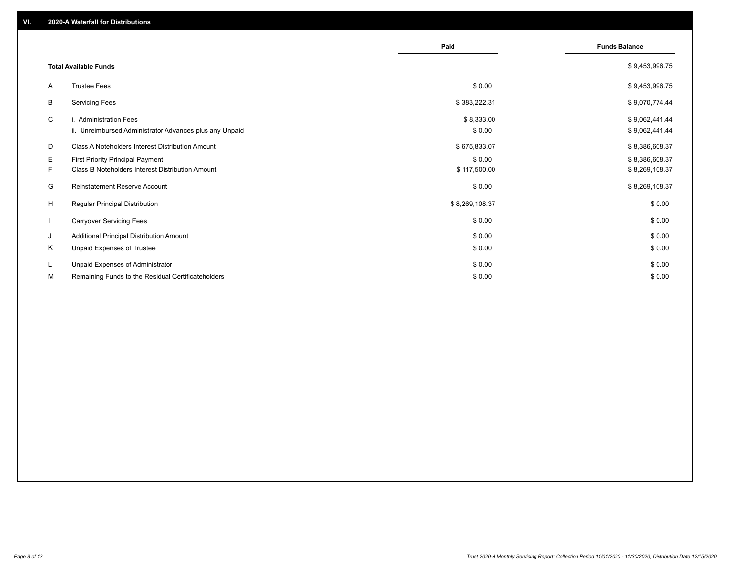|                              |                                                         | Paid           | <b>Funds Balance</b> |
|------------------------------|---------------------------------------------------------|----------------|----------------------|
| <b>Total Available Funds</b> |                                                         |                | \$9,453,996.75       |
| A                            | <b>Trustee Fees</b>                                     | \$0.00         | \$9,453,996.75       |
| В                            | <b>Servicing Fees</b>                                   | \$383,222.31   | \$9,070,774.44       |
| C                            | i. Administration Fees                                  | \$8,333.00     | \$9,062,441.44       |
|                              | ii. Unreimbursed Administrator Advances plus any Unpaid | \$0.00         | \$9,062,441.44       |
| D                            | Class A Noteholders Interest Distribution Amount        | \$675,833.07   | \$8,386,608.37       |
| Е                            | <b>First Priority Principal Payment</b>                 | \$0.00         | \$8,386,608.37       |
| F.                           | Class B Noteholders Interest Distribution Amount        | \$117,500.00   | \$8,269,108.37       |
| G                            | <b>Reinstatement Reserve Account</b>                    | \$0.00         | \$8,269,108.37       |
| H                            | <b>Regular Principal Distribution</b>                   | \$8,269,108.37 | \$0.00               |
| $\mathbf{I}$                 | <b>Carryover Servicing Fees</b>                         | \$0.00         | \$0.00               |
| J                            | Additional Principal Distribution Amount                | \$0.00         | \$0.00               |
| Κ                            | Unpaid Expenses of Trustee                              | \$0.00         | \$0.00               |
| L                            | Unpaid Expenses of Administrator                        | \$0.00         | \$0.00               |
| М                            | Remaining Funds to the Residual Certificateholders      | \$0.00         | \$0.00               |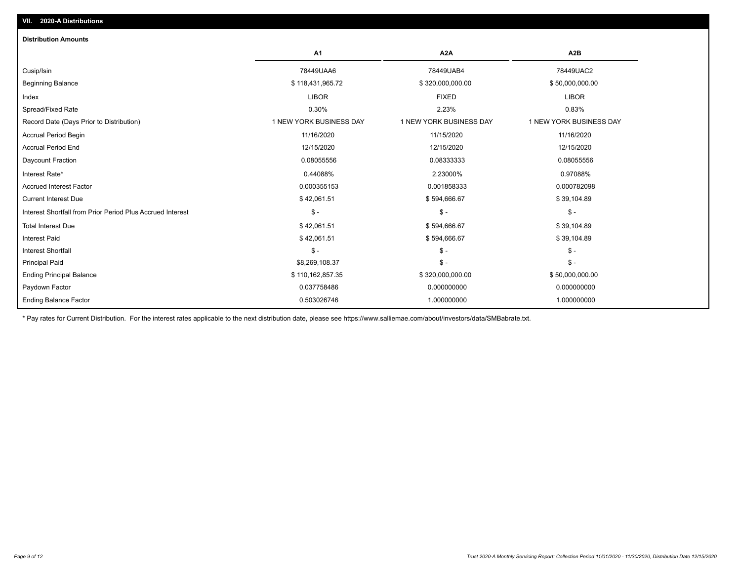| <b>Distribution Amounts</b>                                |                         |                         |                         |
|------------------------------------------------------------|-------------------------|-------------------------|-------------------------|
|                                                            | A1                      | A <sub>2</sub> A        | A <sub>2</sub> B        |
| Cusip/Isin                                                 | 78449UAA6               | 78449UAB4               | 78449UAC2               |
| <b>Beginning Balance</b>                                   | \$118,431,965.72        | \$320,000,000.00        | \$50,000,000.00         |
| Index                                                      | <b>LIBOR</b>            | <b>FIXED</b>            | <b>LIBOR</b>            |
| Spread/Fixed Rate                                          | 0.30%                   | 2.23%                   | 0.83%                   |
| Record Date (Days Prior to Distribution)                   | 1 NEW YORK BUSINESS DAY | 1 NEW YORK BUSINESS DAY | 1 NEW YORK BUSINESS DAY |
| <b>Accrual Period Begin</b>                                | 11/16/2020              | 11/15/2020              | 11/16/2020              |
| <b>Accrual Period End</b>                                  | 12/15/2020              | 12/15/2020              | 12/15/2020              |
| Daycount Fraction                                          | 0.08055556              | 0.08333333              | 0.08055556              |
| Interest Rate*                                             | 0.44088%                | 2.23000%                | 0.97088%                |
| <b>Accrued Interest Factor</b>                             | 0.000355153             | 0.001858333             | 0.000782098             |
| <b>Current Interest Due</b>                                | \$42,061.51             | \$594,666.67            | \$39,104.89             |
| Interest Shortfall from Prior Period Plus Accrued Interest | $\frac{2}{3}$ -         | $\mathcal{S}$ -         | $$ -$                   |
| <b>Total Interest Due</b>                                  | \$42,061.51             | \$594,666.67            | \$39,104.89             |
| <b>Interest Paid</b>                                       | \$42,061.51             | \$594,666.67            | \$39,104.89             |
| <b>Interest Shortfall</b>                                  | $$ -$                   | $\mathsf{\$}$ -         | $\mathsf{\$}$ -         |
| <b>Principal Paid</b>                                      | \$8,269,108.37          | $\mathsf{\$}$ -         | $$ -$                   |
| <b>Ending Principal Balance</b>                            | \$110,162,857.35        | \$320,000,000.00        | \$50,000,000.00         |
| Paydown Factor                                             | 0.037758486             | 0.000000000             | 0.000000000             |
| <b>Ending Balance Factor</b>                               | 0.503026746             | 1.000000000             | 1.000000000             |

\* Pay rates for Current Distribution. For the interest rates applicable to the next distribution date, please see https://www.salliemae.com/about/investors/data/SMBabrate.txt.

**VII. 2020-A Distributions**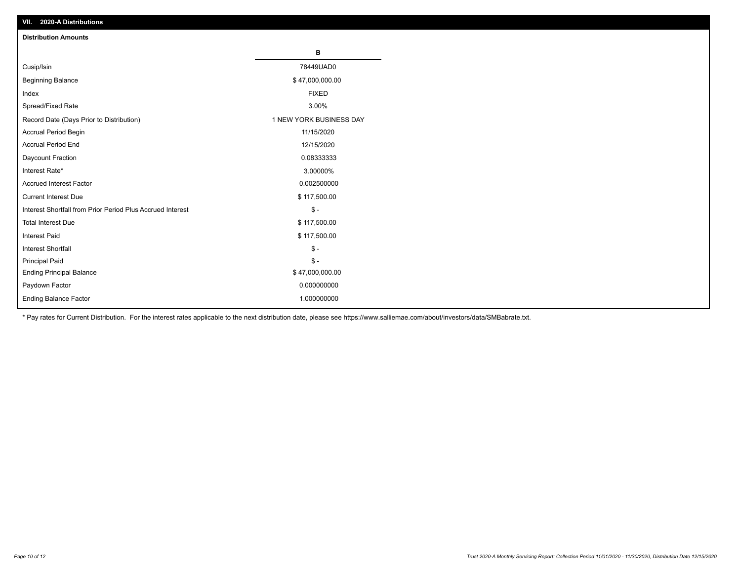| VII. 2020-A Distributions                                  |                         |
|------------------------------------------------------------|-------------------------|
| <b>Distribution Amounts</b>                                |                         |
|                                                            | В                       |
| Cusip/Isin                                                 | 78449UAD0               |
| <b>Beginning Balance</b>                                   | \$47,000,000.00         |
| Index                                                      | <b>FIXED</b>            |
| Spread/Fixed Rate                                          | 3.00%                   |
| Record Date (Days Prior to Distribution)                   | 1 NEW YORK BUSINESS DAY |
| Accrual Period Begin                                       | 11/15/2020              |
| <b>Accrual Period End</b>                                  | 12/15/2020              |
| Daycount Fraction                                          | 0.08333333              |
| Interest Rate*                                             | 3.00000%                |
| <b>Accrued Interest Factor</b>                             | 0.002500000             |
| <b>Current Interest Due</b>                                | \$117,500.00            |
| Interest Shortfall from Prior Period Plus Accrued Interest | $\mathcal{S}$ -         |
| <b>Total Interest Due</b>                                  | \$117,500.00            |
| <b>Interest Paid</b>                                       | \$117,500.00            |
| Interest Shortfall                                         | $\mathbb{S}$ -          |
| <b>Principal Paid</b>                                      | $\frac{1}{2}$           |
| <b>Ending Principal Balance</b>                            | \$47,000,000.00         |
| Paydown Factor                                             | 0.000000000             |
| <b>Ending Balance Factor</b>                               | 1.000000000             |

\* Pay rates for Current Distribution. For the interest rates applicable to the next distribution date, please see https://www.salliemae.com/about/investors/data/SMBabrate.txt.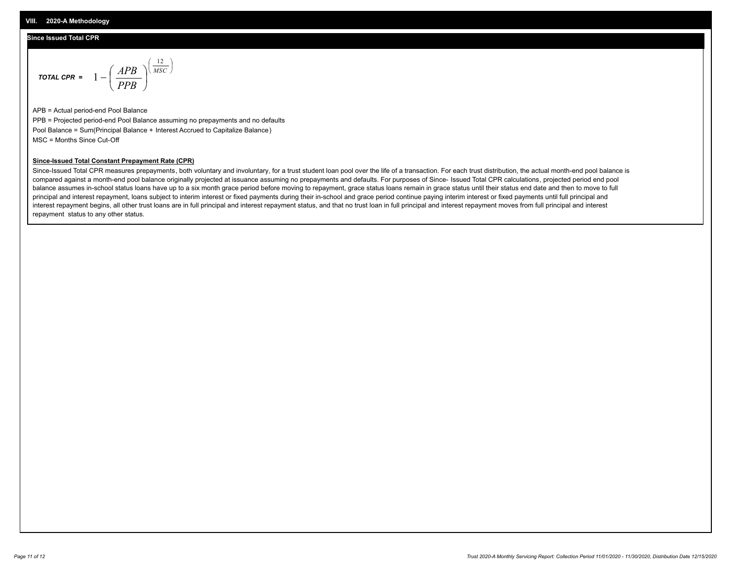#### **Since Issued Total CPR**

$$
\text{Total CPR} = 1 - \left(\frac{APB}{PPB}\right)^{\left(\frac{12}{MSC}\right)}
$$

APB = Actual period-end Pool Balance PPB = Projected period-end Pool Balance assuming no prepayments and no defaults Pool Balance = Sum(Principal Balance + Interest Accrued to Capitalize Balance) MSC = Months Since Cut-Off

#### **Since-Issued Total Constant Prepayment Rate (CPR)**

Since-Issued Total CPR measures prepayments, both voluntary and involuntary, for a trust student loan pool over the life of a transaction. For each trust distribution, the actual month-end pool balance is compared against a month-end pool balance originally projected at issuance assuming no prepayments and defaults. For purposes of Since- Issued Total CPR calculations, projected period end pool balance assumes in-school status loans have up to a six month grace period before moving to repayment, grace status loans remain in grace status until their status end date and then to move to full principal and interest repayment, loans subject to interim interest or fixed payments during their in-school and grace period continue paying interim interest or fixed payments until full principal and interest repayment begins, all other trust loans are in full principal and interest repayment status, and that no trust loan in full principal and interest repayment moves from full principal and interest repayment status to any other status.